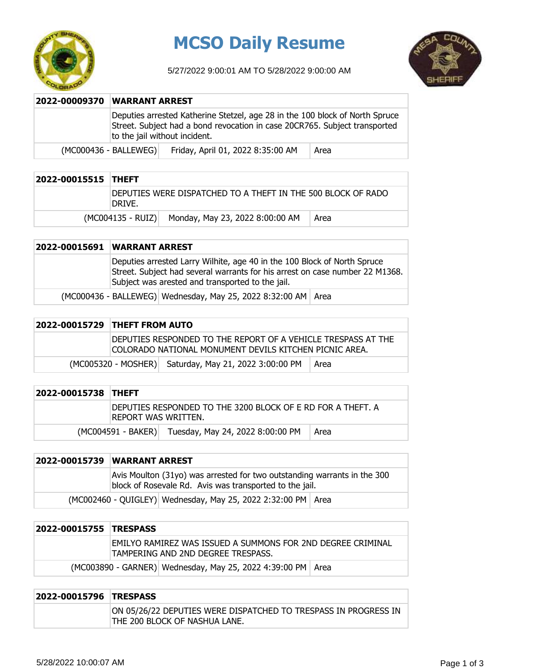

## **MCSO Daily Resume**

5/27/2022 9:00:01 AM TO 5/28/2022 9:00:00 AM



| 2022-00009370 | <b>WARRANT ARREST</b>                                                                                                                                                                       |                                   |      |
|---------------|---------------------------------------------------------------------------------------------------------------------------------------------------------------------------------------------|-----------------------------------|------|
|               | Deputies arrested Katherine Stetzel, age 28 in the 100 block of North Spruce<br>Street. Subject had a bond revocation in case 20CR765. Subject transported<br>to the jail without incident. |                                   |      |
|               | (MC000436 - BALLEWEG)                                                                                                                                                                       | Friday, April 01, 2022 8:35:00 AM | Area |

| 2022-00015515 THEFT |                                                                        |                                                   |      |
|---------------------|------------------------------------------------------------------------|---------------------------------------------------|------|
|                     | DEPUTIES WERE DISPATCHED TO A THEFT IN THE 500 BLOCK OF RADO<br>DRIVE. |                                                   |      |
|                     |                                                                        | (MC004135 - RUIZ) Monday, May 23, 2022 8:00:00 AM | Area |

## **2022-00015691 WARRANT ARREST**

| Deputies arrested Larry Wilhite, age 40 in the 100 Block of North Spruce<br>Street. Subject had several warrants for his arrest on case number 22 M1368.<br>Subject was arested and transported to the jail. |
|--------------------------------------------------------------------------------------------------------------------------------------------------------------------------------------------------------------|
| (MC000436 - BALLEWEG)   Wednesday, May 25, 2022 8:32:00 AM   Area                                                                                                                                            |

| 2022-00015729 THEFT FROM AUTO                                                                                            |                                                       |      |
|--------------------------------------------------------------------------------------------------------------------------|-------------------------------------------------------|------|
| DEPUTIES RESPONDED TO THE REPORT OF A VEHICLE TRESPASS AT THE<br>ICOLORADO NATIONAL MONUMENT DEVILS KITCHEN PICNIC AREA. |                                                       |      |
|                                                                                                                          | (MC005320 - MOSHER) Saturday, May 21, 2022 3:00:00 PM | Area |

| 2022-00015738 THEFT |                                                                                      |                                                     |      |
|---------------------|--------------------------------------------------------------------------------------|-----------------------------------------------------|------|
|                     | IDEPUTIES RESPONDED TO THE 3200 BLOCK OF E RD FOR A THEFT. A<br>IREPORT WAS WRITTEN. |                                                     |      |
|                     |                                                                                      | (MC004591 - BAKER) Tuesday, May 24, 2022 8:00:00 PM | Area |

|                                                                | 2022-00015739 WARRANT ARREST                                                                                                        |  |  |
|----------------------------------------------------------------|-------------------------------------------------------------------------------------------------------------------------------------|--|--|
|                                                                | Avis Moulton (31yo) was arrested for two outstanding warrants in the 300<br>block of Rosevale Rd. Avis was transported to the jail. |  |  |
| (MC002460 - QUIGLEY) Wednesday, May 25, 2022 2:32:00 PM   Area |                                                                                                                                     |  |  |

| 2022-00015755 TRESPASS |                                                                                                   |                                                               |  |
|------------------------|---------------------------------------------------------------------------------------------------|---------------------------------------------------------------|--|
|                        | EMILYO RAMIREZ WAS ISSUED A SUMMONS FOR 2ND DEGREE CRIMINAL<br>TAMPERING AND 2ND DEGREE TRESPASS. |                                                               |  |
|                        |                                                                                                   | (MC003890 - GARNER) Wednesday, May 25, 2022 4:39:00 PM   Area |  |

## **2022-00015796 TRESPASS** ON 05/26/22 DEPUTIES WERE DISPATCHED TO TRESPASS IN PROGRESS IN THE 200 BLOCK OF NASHUA LANE.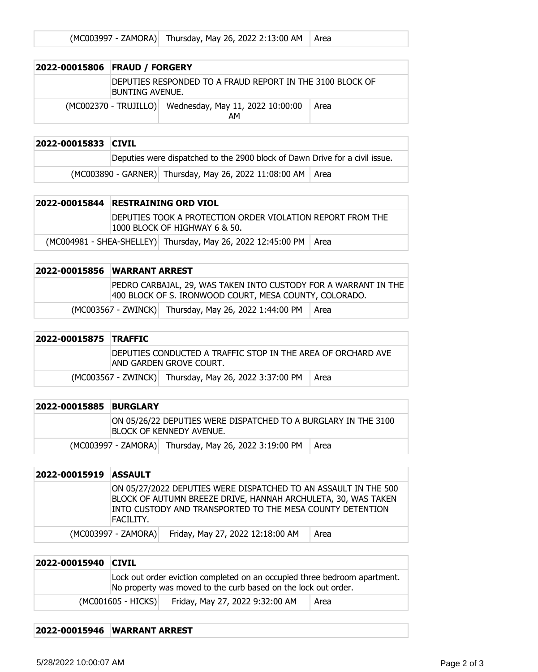|  | (MC003997 - ZAMORA) Thursday, May 26, 2022 2:13:00 AM   Area |  |
|--|--------------------------------------------------------------|--|
|--|--------------------------------------------------------------|--|

| 2022-00015806 FRAUD / FORGERY                                                |                                                              |      |
|------------------------------------------------------------------------------|--------------------------------------------------------------|------|
| DEPUTIES RESPONDED TO A FRAUD REPORT IN THE 3100 BLOCK OF<br>BUNTING AVENUE. |                                                              |      |
|                                                                              | (MC002370 - TRUJILLO) Wednesday, May 11, 2022 10:00:00<br>AМ | Area |

| 2022-00015833 CIVIL |                                                                             |                                                               |  |
|---------------------|-----------------------------------------------------------------------------|---------------------------------------------------------------|--|
|                     | Deputies were dispatched to the 2900 block of Dawn Drive for a civil issue. |                                                               |  |
|                     |                                                                             | (MC003890 - GARNER) Thursday, May 26, 2022 11:08:00 AM   Area |  |

| 2022-00015844 RESTRAINING ORD VIOL                                                          |  |  |
|---------------------------------------------------------------------------------------------|--|--|
| DEPUTIES TOOK A PROTECTION ORDER VIOLATION REPORT FROM THE<br>1000 BLOCK OF HIGHWAY 6 & 50. |  |  |
| (MC004981 - SHEA-SHELLEY) Thursday, May 26, 2022 12:45:00 PM   Area                         |  |  |

| 2022-00015856 WARRANT ARREST                                                                                              |                                                       |        |
|---------------------------------------------------------------------------------------------------------------------------|-------------------------------------------------------|--------|
| PEDRO CARBAJAL, 29, WAS TAKEN INTO CUSTODY FOR A WARRANT IN THE<br>400 BLOCK OF S. IRONWOOD COURT, MESA COUNTY, COLORADO. |                                                       |        |
|                                                                                                                           | (MC003567 - ZWINCK) Thursday, May 26, 2022 1:44:00 PM | l Area |

| 2022-00015875 TRAFFIC |                                                                                          |      |
|-----------------------|------------------------------------------------------------------------------------------|------|
|                       | DEPUTIES CONDUCTED A TRAFFIC STOP IN THE AREA OF ORCHARD AVE<br>IAND GARDEN GROVE COURT. |      |
|                       | (MC003567 - ZWINCK) Thursday, May 26, 2022 3:37:00 PM                                    | Area |

| 2022-00015885 | <b>BURGLARY</b>                                                                             |                                                       |        |
|---------------|---------------------------------------------------------------------------------------------|-------------------------------------------------------|--------|
|               | ON 05/26/22 DEPUTIES WERE DISPATCHED TO A BURGLARY IN THE 3100<br>IBLOCK OF KENNEDY AVENUE. |                                                       |        |
|               |                                                                                             | (MC003997 - ZAMORA) Thursday, May 26, 2022 3:19:00 PM | l Area |

| 2022-00015919 | <b>ASSAULT</b>      |                                                                                                                                                                                               |      |
|---------------|---------------------|-----------------------------------------------------------------------------------------------------------------------------------------------------------------------------------------------|------|
|               | FACILITY.           | ON 05/27/2022 DEPUTIES WERE DISPATCHED TO AN ASSAULT IN THE 500<br>BLOCK OF AUTUMN BREEZE DRIVE, HANNAH ARCHULETA, 30, WAS TAKEN<br>INTO CUSTODY AND TRANSPORTED TO THE MESA COUNTY DETENTION |      |
|               | (MC003997 - ZAMORA) | Friday, May 27, 2022 12:18:00 AM                                                                                                                                                              | Area |

| 2022-00015940 CIVIL |                                                                                                                                             |                                 |      |
|---------------------|---------------------------------------------------------------------------------------------------------------------------------------------|---------------------------------|------|
|                     | Lock out order eviction completed on an occupied three bedroom apartment.<br>No property was moved to the curb based on the lock out order. |                                 |      |
|                     | (MC001605 - HICKS)                                                                                                                          | Friday, May 27, 2022 9:32:00 AM | Area |

## **2022-00015946 WARRANT ARREST**